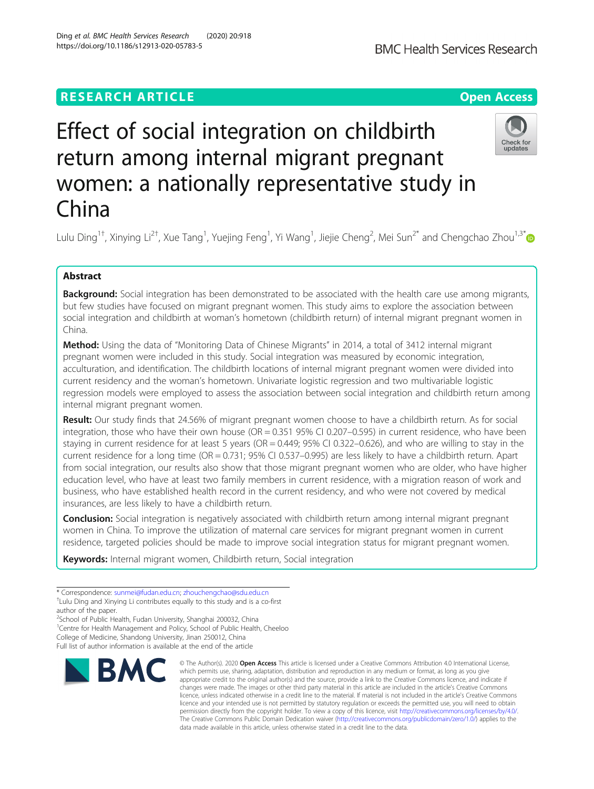## **RESEARCH ARTICLE Example 2014 12:30 The Contract of Contract ACCESS**

# Effect of social integration on childbirth return among internal migrant pregnant women: a nationally representative study in China

Lulu Ding<sup>1†</sup>, Xinying Li<sup>2†</sup>, Xue Tang<sup>1</sup>, Yuejing Feng<sup>1</sup>, Yi Wang<sup>1</sup>, Jiejie Cheng<sup>2</sup>, Mei Sun<sup>2\*</sup> and Chengchao Zhou<sup>1,3\*</sup>

## Abstract

**Background:** Social integration has been demonstrated to be associated with the health care use among migrants, but few studies have focused on migrant pregnant women. This study aims to explore the association between social integration and childbirth at woman's hometown (childbirth return) of internal migrant pregnant women in China.

Method: Using the data of "Monitoring Data of Chinese Migrants" in 2014, a total of 3412 internal migrant pregnant women were included in this study. Social integration was measured by economic integration, acculturation, and identification. The childbirth locations of internal migrant pregnant women were divided into current residency and the woman's hometown. Univariate logistic regression and two multivariable logistic regression models were employed to assess the association between social integration and childbirth return among internal migrant pregnant women.

Result: Our study finds that 24.56% of migrant pregnant women choose to have a childbirth return. As for social integration, those who have their own house (OR = 0.351 95% CI 0.207–0.595) in current residence, who have been staying in current residence for at least 5 years (OR = 0.449; 95% CI 0.322–0.626), and who are willing to stay in the current residence for a long time (OR = 0.731; 95% CI 0.537–0.995) are less likely to have a childbirth return. Apart from social integration, our results also show that those migrant pregnant women who are older, who have higher education level, who have at least two family members in current residence, with a migration reason of work and business, who have established health record in the current residency, and who were not covered by medical insurances, are less likely to have a childbirth return.

**Conclusion:** Social integration is negatively associated with childbirth return among internal migrant pregnant women in China. To improve the utilization of maternal care services for migrant pregnant women in current residence, targeted policies should be made to improve social integration status for migrant pregnant women.

Keywords: Internal migrant women, Childbirth return, Social integration

<sup>2</sup>School of Public Health, Fudan University, Shanghai 200032, China

<sup>1</sup> Centre for Health Management and Policy, School of Public Health, Cheeloo College of Medicine, Shandong University, Jinan 250012, China

Full list of author information is available at the end of the article



data made available in this article, unless otherwise stated in a credit line to the data.

© The Author(s), 2020 **Open Access** This article is licensed under a Creative Commons Attribution 4.0 International License,





<sup>\*</sup> Correspondence: [sunmei@fudan.edu.cn](mailto:sunmei@fudan.edu.cn); [zhouchengchao@sdu.edu.cn](mailto:zhouchengchao@sdu.edu.cn) † <sup>+</sup>Lulu Ding and Xinying Li contributes equally to this study and is a co-first author of the paper.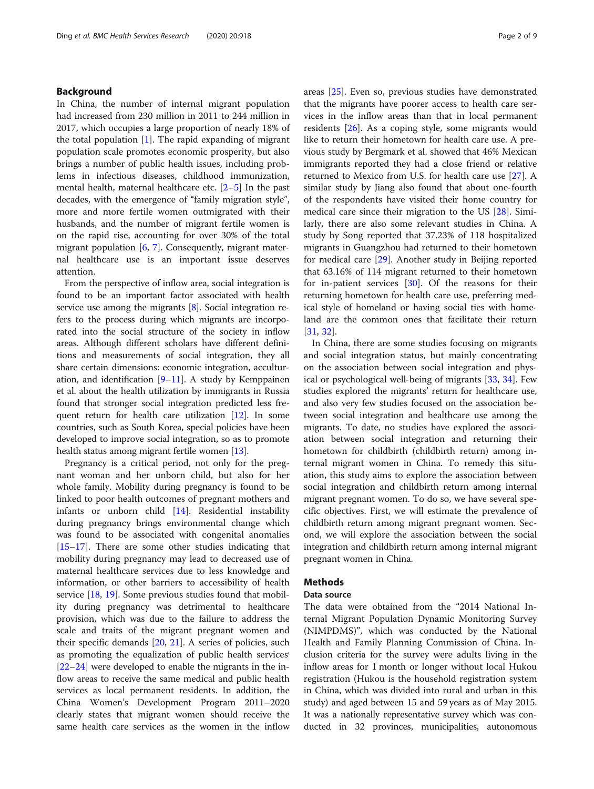## Background

In China, the number of internal migrant population had increased from 230 million in 2011 to 244 million in 2017, which occupies a large proportion of nearly 18% of the total population [[1\]](#page-7-0). The rapid expanding of migrant population scale promotes economic prosperity, but also brings a number of public health issues, including problems in infectious diseases, childhood immunization, mental health, maternal healthcare etc.  $[2-5]$  $[2-5]$  $[2-5]$  $[2-5]$  In the past decades, with the emergence of "family migration style", more and more fertile women outmigrated with their husbands, and the number of migrant fertile women is on the rapid rise, accounting for over 30% of the total migrant population [[6,](#page-7-0) [7\]](#page-7-0). Consequently, migrant maternal healthcare use is an important issue deserves attention.

From the perspective of inflow area, social integration is found to be an important factor associated with health service use among the migrants [\[8\]](#page-7-0). Social integration refers to the process during which migrants are incorporated into the social structure of the society in inflow areas. Although different scholars have different definitions and measurements of social integration, they all share certain dimensions: economic integration, acculturation, and identification  $[9-11]$  $[9-11]$  $[9-11]$  $[9-11]$ . A study by Kemppainen et al. about the health utilization by immigrants in Russia found that stronger social integration predicted less frequent return for health care utilization [[12](#page-7-0)]. In some countries, such as South Korea, special policies have been developed to improve social integration, so as to promote health status among migrant fertile women [[13](#page-7-0)].

Pregnancy is a critical period, not only for the pregnant woman and her unborn child, but also for her whole family. Mobility during pregnancy is found to be linked to poor health outcomes of pregnant mothers and infants or unborn child [\[14](#page-8-0)]. Residential instability during pregnancy brings environmental change which was found to be associated with congenital anomalies [[15](#page-8-0)–[17](#page-8-0)]. There are some other studies indicating that mobility during pregnancy may lead to decreased use of maternal healthcare services due to less knowledge and information, or other barriers to accessibility of health service [\[18](#page-8-0), [19](#page-8-0)]. Some previous studies found that mobility during pregnancy was detrimental to healthcare provision, which was due to the failure to address the scale and traits of the migrant pregnant women and their specific demands [\[20](#page-8-0), [21](#page-8-0)]. A series of policies, such as promoting the equalization of public health services' [[22](#page-8-0)–[24](#page-8-0)] were developed to enable the migrants in the inflow areas to receive the same medical and public health services as local permanent residents. In addition, the China Women's Development Program 2011–2020 clearly states that migrant women should receive the same health care services as the women in the inflow areas [\[25](#page-8-0)]. Even so, previous studies have demonstrated that the migrants have poorer access to health care services in the inflow areas than that in local permanent residents [\[26](#page-8-0)]. As a coping style, some migrants would like to return their hometown for health care use. A previous study by Bergmark et al. showed that 46% Mexican immigrants reported they had a close friend or relative returned to Mexico from U.S. for health care use [\[27](#page-8-0)]. A similar study by Jiang also found that about one-fourth of the respondents have visited their home country for medical care since their migration to the US [[28\]](#page-8-0). Similarly, there are also some relevant studies in China. A study by Song reported that 37.23% of 118 hospitalized migrants in Guangzhou had returned to their hometown for medical care [[29\]](#page-8-0). Another study in Beijing reported that 63.16% of 114 migrant returned to their hometown for in-patient services [[30\]](#page-8-0). Of the reasons for their returning hometown for health care use, preferring medical style of homeland or having social ties with homeland are the common ones that facilitate their return [[31,](#page-8-0) [32\]](#page-8-0).

In China, there are some studies focusing on migrants and social integration status, but mainly concentrating on the association between social integration and physical or psychological well-being of migrants [\[33,](#page-8-0) [34\]](#page-8-0). Few studies explored the migrants' return for healthcare use, and also very few studies focused on the association between social integration and healthcare use among the migrants. To date, no studies have explored the association between social integration and returning their hometown for childbirth (childbirth return) among internal migrant women in China. To remedy this situation, this study aims to explore the association between social integration and childbirth return among internal migrant pregnant women. To do so, we have several specific objectives. First, we will estimate the prevalence of childbirth return among migrant pregnant women. Second, we will explore the association between the social integration and childbirth return among internal migrant pregnant women in China.

## **Methods**

## Data source

The data were obtained from the "2014 National Internal Migrant Population Dynamic Monitoring Survey (NIMPDMS)", which was conducted by the National Health and Family Planning Commission of China. Inclusion criteria for the survey were adults living in the inflow areas for 1 month or longer without local Hukou registration (Hukou is the household registration system in China, which was divided into rural and urban in this study) and aged between 15 and 59 years as of May 2015. It was a nationally representative survey which was conducted in 32 provinces, municipalities, autonomous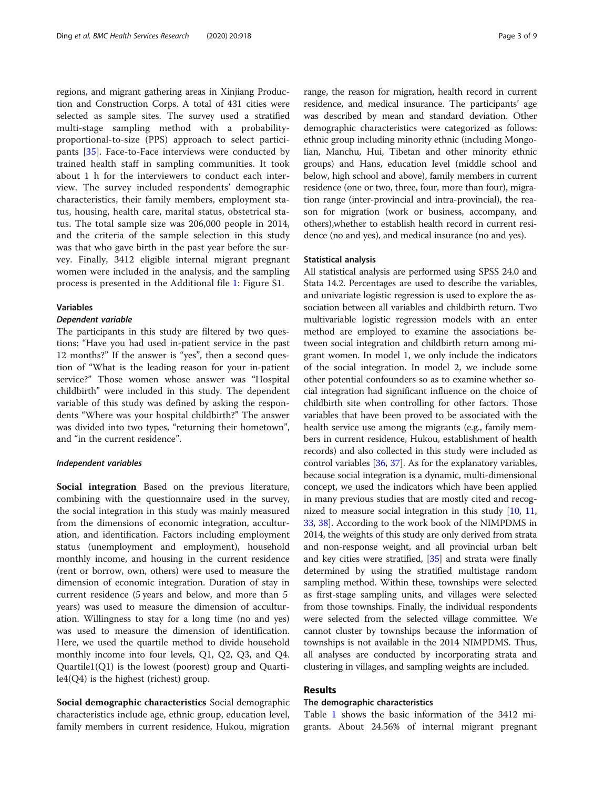regions, and migrant gathering areas in Xinjiang Production and Construction Corps. A total of 431 cities were selected as sample sites. The survey used a stratified multi-stage sampling method with a probabilityproportional-to-size (PPS) approach to select participants [\[35](#page-8-0)]. Face-to-Face interviews were conducted by trained health staff in sampling communities. It took about 1 h for the interviewers to conduct each interview. The survey included respondents' demographic characteristics, their family members, employment status, housing, health care, marital status, obstetrical status. The total sample size was 206,000 people in 2014, and the criteria of the sample selection in this study was that who gave birth in the past year before the survey. Finally, 3412 eligible internal migrant pregnant women were included in the analysis, and the sampling process is presented in the Additional file [1](#page-7-0): Figure S1.

#### Variables

## Dependent variable

The participants in this study are filtered by two questions: "Have you had used in-patient service in the past 12 months?" If the answer is "yes", then a second question of "What is the leading reason for your in-patient service?" Those women whose answer was "Hospital childbirth" were included in this study. The dependent variable of this study was defined by asking the respondents "Where was your hospital childbirth?" The answer was divided into two types, "returning their hometown", and "in the current residence".

## Independent variables

Social integration Based on the previous literature, combining with the questionnaire used in the survey, the social integration in this study was mainly measured from the dimensions of economic integration, acculturation, and identification. Factors including employment status (unemployment and employment), household monthly income, and housing in the current residence (rent or borrow, own, others) were used to measure the dimension of economic integration. Duration of stay in current residence (5 years and below, and more than 5 years) was used to measure the dimension of acculturation. Willingness to stay for a long time (no and yes) was used to measure the dimension of identification. Here, we used the quartile method to divide household monthly income into four levels, Q1, Q2, Q3, and Q4. Quartile1(Q1) is the lowest (poorest) group and Quartile4(Q4) is the highest (richest) group.

Social demographic characteristics Social demographic characteristics include age, ethnic group, education level, family members in current residence, Hukou, migration

range, the reason for migration, health record in current residence, and medical insurance. The participants' age was described by mean and standard deviation. Other demographic characteristics were categorized as follows: ethnic group including minority ethnic (including Mongolian, Manchu, Hui, Tibetan and other minority ethnic groups) and Hans, education level (middle school and below, high school and above), family members in current residence (one or two, three, four, more than four), migration range (inter-provincial and intra-provincial), the reason for migration (work or business, accompany, and others),whether to establish health record in current residence (no and yes), and medical insurance (no and yes).

## Statistical analysis

All statistical analysis are performed using SPSS 24.0 and Stata 14.2. Percentages are used to describe the variables, and univariate logistic regression is used to explore the association between all variables and childbirth return. Two multivariable logistic regression models with an enter method are employed to examine the associations between social integration and childbirth return among migrant women. In model 1, we only include the indicators of the social integration. In model 2, we include some other potential confounders so as to examine whether social integration had significant influence on the choice of childbirth site when controlling for other factors. Those variables that have been proved to be associated with the health service use among the migrants (e.g., family members in current residence, Hukou, establishment of health records) and also collected in this study were included as control variables [\[36,](#page-8-0) [37](#page-8-0)]. As for the explanatory variables, because social integration is a dynamic, multi-dimensional concept, we used the indicators which have been applied in many previous studies that are mostly cited and recognized to measure social integration in this study [\[10,](#page-7-0) [11](#page-7-0), [33](#page-8-0), [38](#page-8-0)]. According to the work book of the NIMPDMS in 2014, the weights of this study are only derived from strata and non-response weight, and all provincial urban belt and key cities were stratified, [\[35\]](#page-8-0) and strata were finally determined by using the stratified multistage random sampling method. Within these, townships were selected as first-stage sampling units, and villages were selected from those townships. Finally, the individual respondents were selected from the selected village committee. We cannot cluster by townships because the information of townships is not available in the 2014 NIMPDMS. Thus, all analyses are conducted by incorporating strata and clustering in villages, and sampling weights are included.

## Results

## The demographic characteristics

Table [1](#page-3-0) shows the basic information of the 3412 migrants. About 24.56% of internal migrant pregnant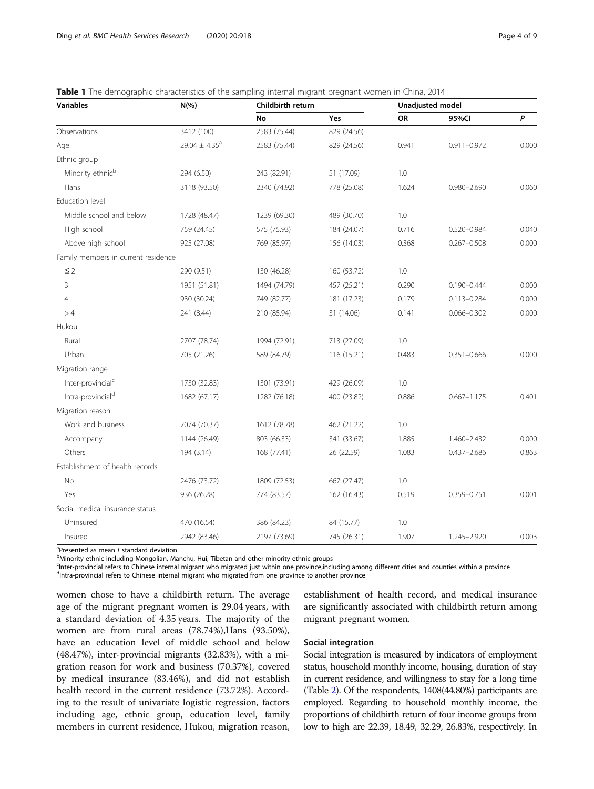| <b>Variables</b>                    | $N(\% )$                      | Childbirth return |             | <b>Unadjusted model</b> |                 |       |
|-------------------------------------|-------------------------------|-------------------|-------------|-------------------------|-----------------|-------|
|                                     |                               | No                | Yes         | <b>OR</b>               | 95%CI           | P     |
| Observations                        | 3412 (100)                    | 2583 (75.44)      | 829 (24.56) |                         |                 |       |
| Age                                 | 29.04 $\pm$ 4.35 <sup>a</sup> | 2583 (75.44)      | 829 (24.56) | 0.941                   | $0.911 - 0.972$ | 0.000 |
| Ethnic group                        |                               |                   |             |                         |                 |       |
| Minority ethnic <sup>b</sup>        | 294 (6.50)                    | 243 (82.91)       | 51 (17.09)  | 1.0                     |                 |       |
| Hans                                | 3118 (93.50)                  | 2340 (74.92)      | 778 (25.08) | 1.624                   | $0.980 - 2.690$ | 0.060 |
| Education level                     |                               |                   |             |                         |                 |       |
| Middle school and below             | 1728 (48.47)                  | 1239 (69.30)      | 489 (30.70) | 1.0                     |                 |       |
| High school                         | 759 (24.45)                   | 575 (75.93)       | 184 (24.07) | 0.716                   | 0.520-0.984     | 0.040 |
| Above high school                   | 925 (27.08)                   | 769 (85.97)       | 156 (14.03) | 0.368                   | $0.267 - 0.508$ | 0.000 |
| Family members in current residence |                               |                   |             |                         |                 |       |
| $\leq$ 2                            | 290 (9.51)                    | 130 (46.28)       | 160 (53.72) | 1.0                     |                 |       |
| 3                                   | 1951 (51.81)                  | 1494 (74.79)      | 457 (25.21) | 0.290                   | $0.190 - 0.444$ | 0.000 |
| 4                                   | 930 (30.24)                   | 749 (82.77)       | 181 (17.23) | 0.179                   | $0.113 - 0.284$ | 0.000 |
| >4                                  | 241 (8.44)                    | 210 (85.94)       | 31 (14.06)  | 0.141                   | $0.066 - 0.302$ | 0.000 |
| Hukou                               |                               |                   |             |                         |                 |       |
| Rural                               | 2707 (78.74)                  | 1994 (72.91)      | 713 (27.09) | 1.0                     |                 |       |
| Urban                               | 705 (21.26)                   | 589 (84.79)       | 116 (15.21) | 0.483                   | $0.351 - 0.666$ | 0.000 |
| Migration range                     |                               |                   |             |                         |                 |       |
| Inter-provincial <sup>c</sup>       | 1730 (32.83)                  | 1301 (73.91)      | 429 (26.09) | 1.0                     |                 |       |
| Intra-provincial <sup>d</sup>       | 1682 (67.17)                  | 1282 (76.18)      | 400 (23.82) | 0.886                   | $0.667 - 1.175$ | 0.401 |
| Migration reason                    |                               |                   |             |                         |                 |       |
| Work and business                   | 2074 (70.37)                  | 1612 (78.78)      | 462 (21.22) | 1.0                     |                 |       |
| Accompany                           | 1144 (26.49)                  | 803 (66.33)       | 341 (33.67) | 1.885                   | 1.460-2.432     | 0.000 |
| Others                              | 194 (3.14)                    | 168 (77.41)       | 26 (22.59)  | 1.083                   | $0.437 - 2.686$ | 0.863 |
| Establishment of health records     |                               |                   |             |                         |                 |       |
| <b>No</b>                           | 2476 (73.72)                  | 1809 (72.53)      | 667 (27.47) | 1.0                     |                 |       |
| Yes                                 | 936 (26.28)                   | 774 (83.57)       | 162 (16.43) | 0.519                   | 0.359-0.751     | 0.001 |
| Social medical insurance status     |                               |                   |             |                         |                 |       |
| Uninsured                           | 470 (16.54)                   | 386 (84.23)       | 84 (15.77)  | 1.0                     |                 |       |
| Insured                             | 2942 (83.46)                  | 2197 (73.69)      | 745 (26.31) | 1.907                   | 1.245-2.920     | 0.003 |

<span id="page-3-0"></span>Table 1 The demographic characteristics of the sampling internal migrant pregnant women in China, 2014

a Presented as mean ± standard deviation

<sup>b</sup>Minority ethnic including Mongolian, Manchu, Hui, Tibetan and other minority ethnic groups

<sup>c</sup>Inter-provincial refers to Chinese internal migrant who migrated just within one province,including among different cities and counties within a province<br><sup>d</sup>intra-provincial refers to Chinese internal migrant who migrat <sup>d</sup>Intra-provincial refers to Chinese internal migrant who migrated from one province to another province

women chose to have a childbirth return. The average age of the migrant pregnant women is 29.04 years, with a standard deviation of 4.35 years. The majority of the women are from rural areas (78.74%),Hans (93.50%), have an education level of middle school and below (48.47%), inter-provincial migrants (32.83%), with a migration reason for work and business (70.37%), covered by medical insurance (83.46%), and did not establish health record in the current residence (73.72%). According to the result of univariate logistic regression, factors including age, ethnic group, education level, family members in current residence, Hukou, migration reason, establishment of health record, and medical insurance are significantly associated with childbirth return among migrant pregnant women.

## Social integration

Social integration is measured by indicators of employment status, household monthly income, housing, duration of stay in current residence, and willingness to stay for a long time (Table [2\)](#page-4-0). Of the respondents, 1408(44.80%) participants are employed. Regarding to household monthly income, the proportions of childbirth return of four income groups from low to high are 22.39, 18.49, 32.29, 26.83%, respectively. In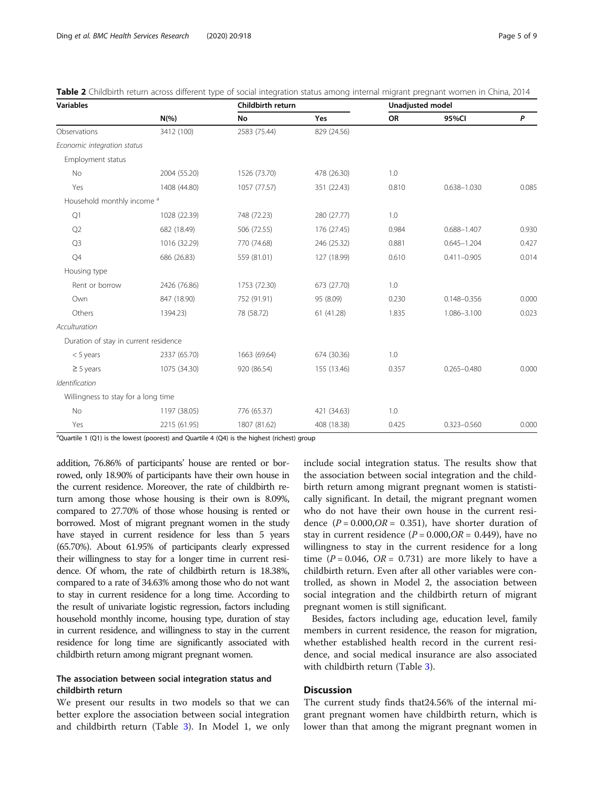| <b>Variables</b>                      |              |              | Childbirth return |       | <b>Unadjusted model</b> |       |  |
|---------------------------------------|--------------|--------------|-------------------|-------|-------------------------|-------|--|
|                                       | $N(\% )$     | No           | Yes               | OR    | 95%CI                   | P     |  |
| Observations                          | 3412 (100)   | 2583 (75.44) | 829 (24.56)       |       |                         |       |  |
| Economic integration status           |              |              |                   |       |                         |       |  |
| Employment status                     |              |              |                   |       |                         |       |  |
| No                                    | 2004 (55.20) | 1526 (73.70) | 478 (26.30)       | 1.0   |                         |       |  |
| Yes                                   | 1408 (44.80) | 1057 (77.57) | 351 (22.43)       | 0.810 | $0.638 - 1.030$         | 0.085 |  |
| Household monthly income <sup>a</sup> |              |              |                   |       |                         |       |  |
| Q1                                    | 1028 (22.39) | 748 (72.23)  | 280 (27.77)       | 1.0   |                         |       |  |
| Q2                                    | 682 (18.49)  | 506 (72.55)  | 176 (27.45)       | 0.984 | $0.688 - 1.407$         | 0.930 |  |
| Q <sub>3</sub>                        | 1016 (32.29) | 770 (74.68)  | 246 (25.32)       | 0.881 | $0.645 - 1.204$         | 0.427 |  |
| Q4                                    | 686 (26.83)  | 559 (81.01)  | 127 (18.99)       | 0.610 | $0.411 - 0.905$         | 0.014 |  |
| Housing type                          |              |              |                   |       |                         |       |  |
| Rent or borrow                        | 2426 (76.86) | 1753 (72.30) | 673 (27.70)       | 1.0   |                         |       |  |
| Own                                   | 847 (18.90)  | 752 (91.91)  | 95 (8.09)         | 0.230 | $0.148 - 0.356$         | 0.000 |  |
| Others                                | 1394.23)     | 78 (58.72)   | 61 (41.28)        | 1.835 | 1.086-3.100             | 0.023 |  |
| Acculturation                         |              |              |                   |       |                         |       |  |
| Duration of stay in current residence |              |              |                   |       |                         |       |  |
| $<$ 5 years                           | 2337 (65.70) | 1663 (69.64) | 674 (30.36)       | 1.0   |                         |       |  |
| $\geq$ 5 years                        | 1075 (34.30) | 920 (86.54)  | 155 (13.46)       | 0.357 | $0.265 - 0.480$         | 0.000 |  |
| Identification                        |              |              |                   |       |                         |       |  |
| Willingness to stay for a long time   |              |              |                   |       |                         |       |  |
| No                                    | 1197 (38.05) | 776 (65.37)  | 421 (34.63)       | 1.0   |                         |       |  |
| Yes                                   | 2215 (61.95) | 1807 (81.62) | 408 (18.38)       | 0.425 | $0.323 - 0.560$         | 0.000 |  |

<span id="page-4-0"></span>Table 2 Childbirth return across different type of social integration status among internal migrant pregnant women in China, 2014

<sup>a</sup>Quartile 1 (Q1) is the lowest (poorest) and Quartile 4 (Q4) is the highest (richest) group

addition, 76.86% of participants' house are rented or borrowed, only 18.90% of participants have their own house in the current residence. Moreover, the rate of childbirth return among those whose housing is their own is 8.09%, compared to 27.70% of those whose housing is rented or borrowed. Most of migrant pregnant women in the study have stayed in current residence for less than 5 years (65.70%). About 61.95% of participants clearly expressed their willingness to stay for a longer time in current residence. Of whom, the rate of childbirth return is 18.38%, compared to a rate of 34.63% among those who do not want to stay in current residence for a long time. According to the result of univariate logistic regression, factors including household monthly income, housing type, duration of stay in current residence, and willingness to stay in the current residence for long time are significantly associated with childbirth return among migrant pregnant women.

## The association between social integration status and childbirth return

We present our results in two models so that we can better explore the association between social integration and childbirth return (Table [3\)](#page-5-0). In Model 1, we only include social integration status. The results show that the association between social integration and the childbirth return among migrant pregnant women is statistically significant. In detail, the migrant pregnant women who do not have their own house in the current residence  $(P = 0.000, OR = 0.351)$ , have shorter duration of stay in current residence  $(P = 0.000, OR = 0.449)$ , have no willingness to stay in the current residence for a long time ( $P = 0.046$ ,  $OR = 0.731$ ) are more likely to have a childbirth return. Even after all other variables were controlled, as shown in Model 2, the association between social integration and the childbirth return of migrant pregnant women is still significant.

Besides, factors including age, education level, family members in current residence, the reason for migration, whether established health record in the current residence, and social medical insurance are also associated with childbirth return (Table [3](#page-5-0)).

## **Discussion**

The current study finds that24.56% of the internal migrant pregnant women have childbirth return, which is lower than that among the migrant pregnant women in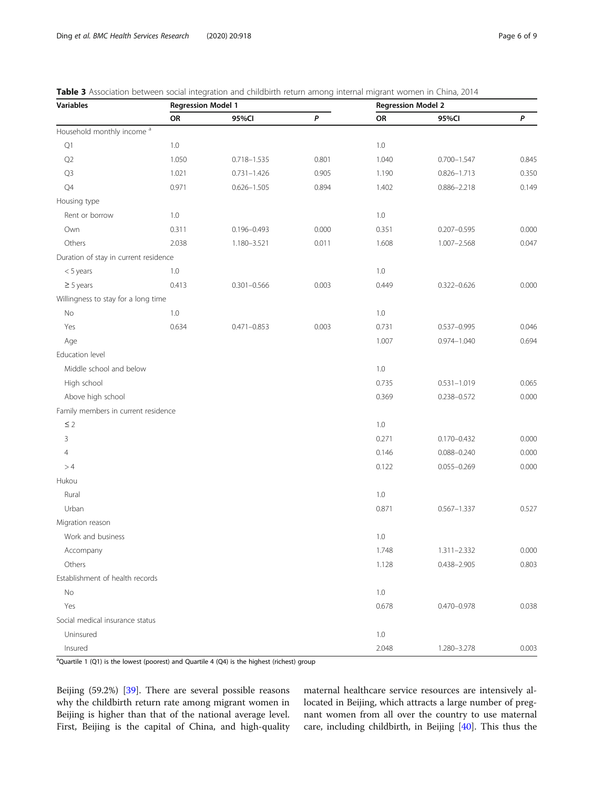<span id="page-5-0"></span>

| <b>Variables</b>                      |         | <b>Regression Model 1</b> |                  |         | <b>Regression Model 2</b> |       |  |
|---------------------------------------|---------|---------------------------|------------------|---------|---------------------------|-------|--|
|                                       | OR      | 95%CI                     | $\boldsymbol{P}$ | OR      | 95%CI                     | P     |  |
| Household monthly income <sup>a</sup> |         |                           |                  |         |                           |       |  |
| Q1                                    | 1.0     |                           |                  | 1.0     |                           |       |  |
| Q2                                    | 1.050   | 0.718-1.535               | 0.801            | 1.040   | $0.700 - 1.547$           | 0.845 |  |
| Q <sub>3</sub>                        | 1.021   | $0.731 - 1.426$           | 0.905            | 1.190   | $0.826 - 1.713$           | 0.350 |  |
| Q4                                    | 0.971   | $0.626 - 1.505$           | 0.894            | 1.402   | $0.886 - 2.218$           | 0.149 |  |
| Housing type                          |         |                           |                  |         |                           |       |  |
| Rent or borrow                        | 1.0     |                           |                  | $1.0\,$ |                           |       |  |
| Own                                   | 0.311   | $0.196 - 0.493$           | 0.000            | 0.351   | $0.207 - 0.595$           | 0.000 |  |
| Others                                | 2.038   | 1.180-3.521               | 0.011            | 1.608   | $1.007 - 2.568$           | 0.047 |  |
| Duration of stay in current residence |         |                           |                  |         |                           |       |  |
| $<$ 5 years                           | $1.0\,$ |                           |                  | 1.0     |                           |       |  |
| $\geq$ 5 years                        | 0.413   | $0.301 - 0.566$           | 0.003            | 0.449   | $0.322 - 0.626$           | 0.000 |  |
| Willingness to stay for a long time   |         |                           |                  |         |                           |       |  |
| No                                    | $1.0\,$ |                           |                  | 1.0     |                           |       |  |
| Yes                                   | 0.634   | $0.471 - 0.853$           | 0.003            | 0.731   | $0.537 - 0.995$           | 0.046 |  |
| Age                                   |         |                           |                  | 1.007   | $0.974 - 1.040$           | 0.694 |  |
| Education level                       |         |                           |                  |         |                           |       |  |
| Middle school and below               |         |                           |                  | $1.0\,$ |                           |       |  |
| High school                           |         |                           |                  | 0.735   | $0.531 - 1.019$           | 0.065 |  |
| Above high school                     |         |                           |                  | 0.369   | 0.238-0.572               | 0.000 |  |
| Family members in current residence   |         |                           |                  |         |                           |       |  |
| $\leq$ 2                              |         |                           |                  | 1.0     |                           |       |  |
| 3                                     |         |                           |                  | 0.271   | $0.170 - 0.432$           | 0.000 |  |
| $\overline{4}$                        |         |                           |                  | 0.146   | $0.088 - 0.240$           | 0.000 |  |
| >4                                    |         |                           |                  | 0.122   | $0.055 - 0.269$           | 0.000 |  |
| Hukou                                 |         |                           |                  |         |                           |       |  |
| Rural                                 |         |                           |                  | $1.0\,$ |                           |       |  |
| Urban                                 |         |                           |                  | 0.871   | $0.567 - 1.337$           | 0.527 |  |
| Migration reason                      |         |                           |                  |         |                           |       |  |
| Work and business                     |         |                           |                  | 1.0     |                           |       |  |
| Accompany                             |         |                           |                  | 1.748   | $1.311 - 2.332$           | 0.000 |  |
| Others                                |         |                           |                  | 1.128   | $0.438 - 2.905$           | 0.803 |  |
| Establishment of health records       |         |                           |                  |         |                           |       |  |
| No                                    |         |                           |                  | $1.0\,$ |                           |       |  |
| Yes                                   |         |                           |                  | 0.678   | $0.470 - 0.978$           | 0.038 |  |
| Social medical insurance status       |         |                           |                  |         |                           |       |  |
| Uninsured                             |         |                           |                  | $1.0\,$ |                           |       |  |
| Insured                               |         |                           |                  | 2.048   | 1.280-3.278               | 0.003 |  |

<sup>a</sup>Quartile 1 (Q1) is the lowest (poorest) and Quartile 4 (Q4) is the highest (richest) group

Beijing (59.2%) [\[39](#page-8-0)]. There are several possible reasons why the childbirth return rate among migrant women in Beijing is higher than that of the national average level. First, Beijing is the capital of China, and high-quality maternal healthcare service resources are intensively allocated in Beijing, which attracts a large number of pregnant women from all over the country to use maternal care, including childbirth, in Beijing [[40\]](#page-8-0). This thus the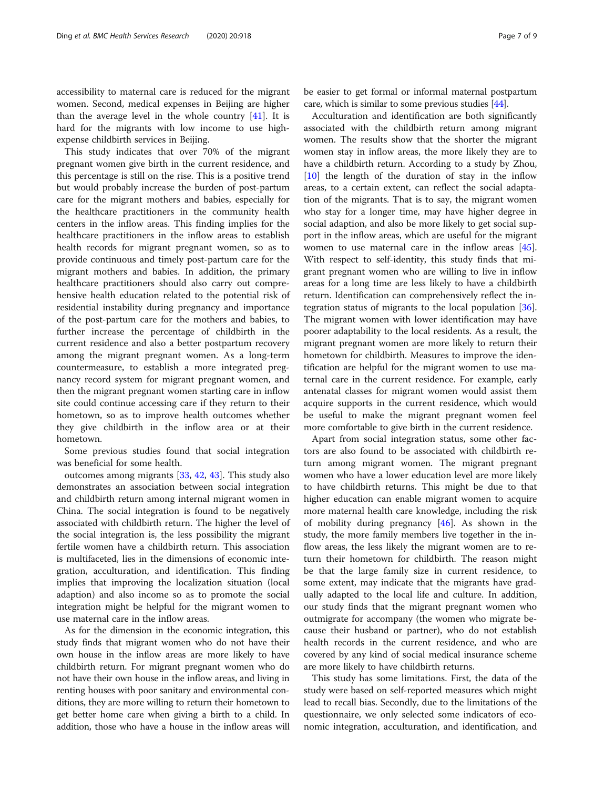accessibility to maternal care is reduced for the migrant women. Second, medical expenses in Beijing are higher than the average level in the whole country  $[41]$  $[41]$ . It is hard for the migrants with low income to use highexpense childbirth services in Beijing.

This study indicates that over 70% of the migrant pregnant women give birth in the current residence, and this percentage is still on the rise. This is a positive trend but would probably increase the burden of post-partum care for the migrant mothers and babies, especially for the healthcare practitioners in the community health centers in the inflow areas. This finding implies for the healthcare practitioners in the inflow areas to establish health records for migrant pregnant women, so as to provide continuous and timely post-partum care for the migrant mothers and babies. In addition, the primary healthcare practitioners should also carry out comprehensive health education related to the potential risk of residential instability during pregnancy and importance of the post-partum care for the mothers and babies, to further increase the percentage of childbirth in the current residence and also a better postpartum recovery among the migrant pregnant women. As a long-term countermeasure, to establish a more integrated pregnancy record system for migrant pregnant women, and then the migrant pregnant women starting care in inflow site could continue accessing care if they return to their hometown, so as to improve health outcomes whether they give childbirth in the inflow area or at their hometown.

Some previous studies found that social integration was beneficial for some health.

outcomes among migrants [\[33](#page-8-0), [42](#page-8-0), [43](#page-8-0)]. This study also demonstrates an association between social integration and childbirth return among internal migrant women in China. The social integration is found to be negatively associated with childbirth return. The higher the level of the social integration is, the less possibility the migrant fertile women have a childbirth return. This association is multifaceted, lies in the dimensions of economic integration, acculturation, and identification. This finding implies that improving the localization situation (local adaption) and also income so as to promote the social integration might be helpful for the migrant women to use maternal care in the inflow areas.

As for the dimension in the economic integration, this study finds that migrant women who do not have their own house in the inflow areas are more likely to have childbirth return. For migrant pregnant women who do not have their own house in the inflow areas, and living in renting houses with poor sanitary and environmental conditions, they are more willing to return their hometown to get better home care when giving a birth to a child. In addition, those who have a house in the inflow areas will

be easier to get formal or informal maternal postpartum care, which is similar to some previous studies [\[44](#page-8-0)].

Acculturation and identification are both significantly associated with the childbirth return among migrant women. The results show that the shorter the migrant women stay in inflow areas, the more likely they are to have a childbirth return. According to a study by Zhou, [[10\]](#page-7-0) the length of the duration of stay in the inflow areas, to a certain extent, can reflect the social adaptation of the migrants. That is to say, the migrant women who stay for a longer time, may have higher degree in social adaption, and also be more likely to get social support in the inflow areas, which are useful for the migrant women to use maternal care in the inflow areas [\[45](#page-8-0)]. With respect to self-identity, this study finds that migrant pregnant women who are willing to live in inflow areas for a long time are less likely to have a childbirth return. Identification can comprehensively reflect the integration status of migrants to the local population [\[36](#page-8-0)]. The migrant women with lower identification may have poorer adaptability to the local residents. As a result, the migrant pregnant women are more likely to return their hometown for childbirth. Measures to improve the identification are helpful for the migrant women to use maternal care in the current residence. For example, early antenatal classes for migrant women would assist them acquire supports in the current residence, which would be useful to make the migrant pregnant women feel more comfortable to give birth in the current residence.

Apart from social integration status, some other factors are also found to be associated with childbirth return among migrant women. The migrant pregnant women who have a lower education level are more likely to have childbirth returns. This might be due to that higher education can enable migrant women to acquire more maternal health care knowledge, including the risk of mobility during pregnancy [[46\]](#page-8-0). As shown in the study, the more family members live together in the inflow areas, the less likely the migrant women are to return their hometown for childbirth. The reason might be that the large family size in current residence, to some extent, may indicate that the migrants have gradually adapted to the local life and culture. In addition, our study finds that the migrant pregnant women who outmigrate for accompany (the women who migrate because their husband or partner), who do not establish health records in the current residence, and who are covered by any kind of social medical insurance scheme are more likely to have childbirth returns.

This study has some limitations. First, the data of the study were based on self-reported measures which might lead to recall bias. Secondly, due to the limitations of the questionnaire, we only selected some indicators of economic integration, acculturation, and identification, and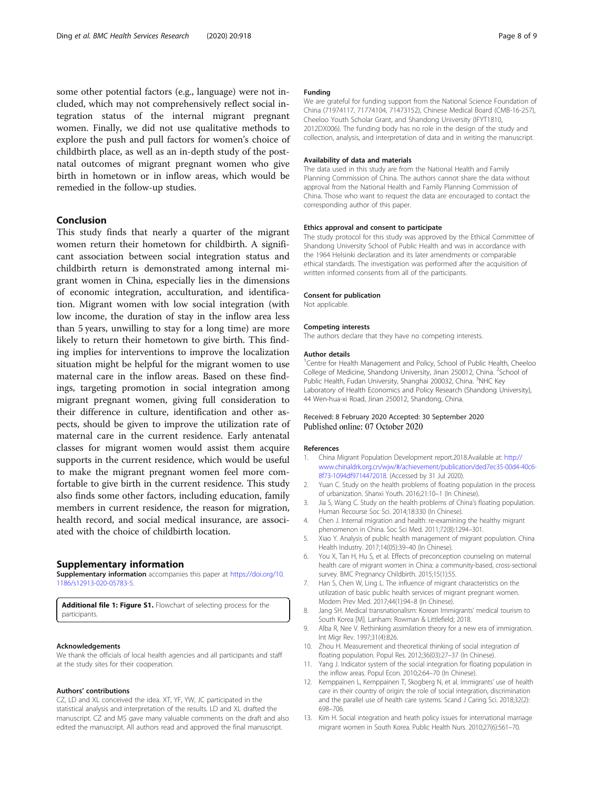<span id="page-7-0"></span>some other potential factors (e.g., language) were not included, which may not comprehensively reflect social integration status of the internal migrant pregnant women. Finally, we did not use qualitative methods to explore the push and pull factors for women's choice of childbirth place, as well as an in-depth study of the postnatal outcomes of migrant pregnant women who give birth in hometown or in inflow areas, which would be remedied in the follow-up studies.

## Conclusion

This study finds that nearly a quarter of the migrant women return their hometown for childbirth. A significant association between social integration status and childbirth return is demonstrated among internal migrant women in China, especially lies in the dimensions of economic integration, acculturation, and identification. Migrant women with low social integration (with low income, the duration of stay in the inflow area less than 5 years, unwilling to stay for a long time) are more likely to return their hometown to give birth. This finding implies for interventions to improve the localization situation might be helpful for the migrant women to use maternal care in the inflow areas. Based on these findings, targeting promotion in social integration among migrant pregnant women, giving full consideration to their difference in culture, identification and other aspects, should be given to improve the utilization rate of maternal care in the current residence. Early antenatal classes for migrant women would assist them acquire supports in the current residence, which would be useful to make the migrant pregnant women feel more comfortable to give birth in the current residence. This study also finds some other factors, including education, family members in current residence, the reason for migration, health record, and social medical insurance, are associated with the choice of childbirth location.

## Supplementary information

Supplementary information accompanies this paper at [https://doi.org/10.](https://doi.org/10.1186/s12913-020-05783-5) [1186/s12913-020-05783-5](https://doi.org/10.1186/s12913-020-05783-5).

Additional file 1: Figure S1. Flowchart of selecting process for the participants.

#### Acknowledgements

We thank the officials of local health agencies and all participants and staff at the study sites for their cooperation.

#### Authors' contributions

CZ, LD and XL conceived the idea. XT, YF, YW, JC participated in the statistical analysis and interpretation of the results. LD and XL drafted the manuscript. CZ and MS gave many valuable comments on the draft and also edited the manuscript. All authors read and approved the final manuscript.

#### Funding

We are grateful for funding support from the National Science Foundation of China (71974117, 71774104, 71473152), Chinese Medical Board (CMB-16-257), Cheeloo Youth Scholar Grant, and Shandong University (IFYT1810, 2012DX006). The funding body has no role in the design of the study and collection, analysis, and interpretation of data and in writing the manuscript.

#### Availability of data and materials

The data used in this study are from the National Health and Family Planning Commission of China. The authors cannot share the data without approval from the National Health and Family Planning Commission of China. Those who want to request the data are encouraged to contact the corresponding author of this paper.

#### Ethics approval and consent to participate

The study protocol for this study was approved by the Ethical Committee of Shandong University School of Public Health and was in accordance with the 1964 Helsinki declaration and its later amendments or comparable ethical standards. The investigation was performed after the acquisition of written informed consents from all of the participants.

#### Consent for publication

Not applicable.

## Competing interests

The authors declare that they have no competing interests.

#### Author details

<sup>1</sup> Centre for Health Management and Policy, School of Public Health, Cheeloo College of Medicine, Shandong University, Jinan 250012, China. <sup>2</sup>School of Public Health, Fudan University, Shanghai 200032, China. <sup>3</sup>NHC Key Laboratory of Health Economics and Policy Research (Shandong University), 44 Wen-hua-xi Road, Jinan 250012, Shandong, China.

### Received: 8 February 2020 Accepted: 30 September 2020 Published online: 07 October 2020

#### References

- 1. China Migrant Population Development report.2018.Available at: [http://](http://www.chinaldrk.org.cn/wjw/#/achievement/publication/ded7ec35-00d4-40c6-8f73-1094df9714472018) [www.chinaldrk.org.cn/wjw/#/achievement/publication/ded7ec35-00d4-40c6-](http://www.chinaldrk.org.cn/wjw/#/achievement/publication/ded7ec35-00d4-40c6-8f73-1094df9714472018) [8f73-1094df9714472018](http://www.chinaldrk.org.cn/wjw/#/achievement/publication/ded7ec35-00d4-40c6-8f73-1094df9714472018). (Accessed by 31 Jul 2020).
- 2. Yuan C. Study on the health problems of floating population in the process of urbanization. Shanxi Youth. 2016;21:10–1 (In Chinese).
- 3. Jia S, Wang C. Study on the health problems of China's floating population. Human Recourse Soc Sci. 2014;18:330 (In Chinese).
- 4. Chen J. Internal migration and health: re-examining the healthy migrant phenomenon in China. Soc Sci Med. 2011;72(8):1294–301.
- 5. Xiao Y. Analysis of public health management of migrant population. China Health Industry. 2017;14(05):39–40 (In Chinese).
- 6. You X, Tan H, Hu S, et al. Effects of preconception counseling on maternal health care of migrant women in China: a community-based, cross-sectional survey. BMC Pregnancy Childbirth. 2015;15(1):55.
- 7. Han S, Chen W, Ling L. The influence of migrant characteristics on the utilization of basic public health services of migrant pregnant women. Modern Prev Med. 2017;44(1):94–8 (In Chinese).
- 8. Jang SH. Medical transnationalism: Korean Immigrants' medical tourism to South Korea [M]. Lanham: Rowman & Littlefield; 2018.
- 9. Alba R, Nee V. Rethinking assimilation theory for a new era of immigration. Int Migr Rev. 1997;31(4):826.
- Zhou H. Measurement and theoretical thinking of social integration of floating population. Popul Res. 2012;36(03):27–37 (In Chinese).
- 11. Yang J. Indicator system of the social integration for floating population in the inflow areas. Popul Econ. 2010;2:64–70 (In Chinese).
- 12. Kemppainen L, Kemppainen T, Skogberg N, et al. Immigrants' use of health care in their country of origin: the role of social integration, discrimination and the parallel use of health care systems. Scand J Caring Sci. 2018;32(2): 698–706.
- 13. Kim H. Social integration and heath policy issues for international marriage migrant women in South Korea. Public Health Nurs. 2010;27(6):561–70.